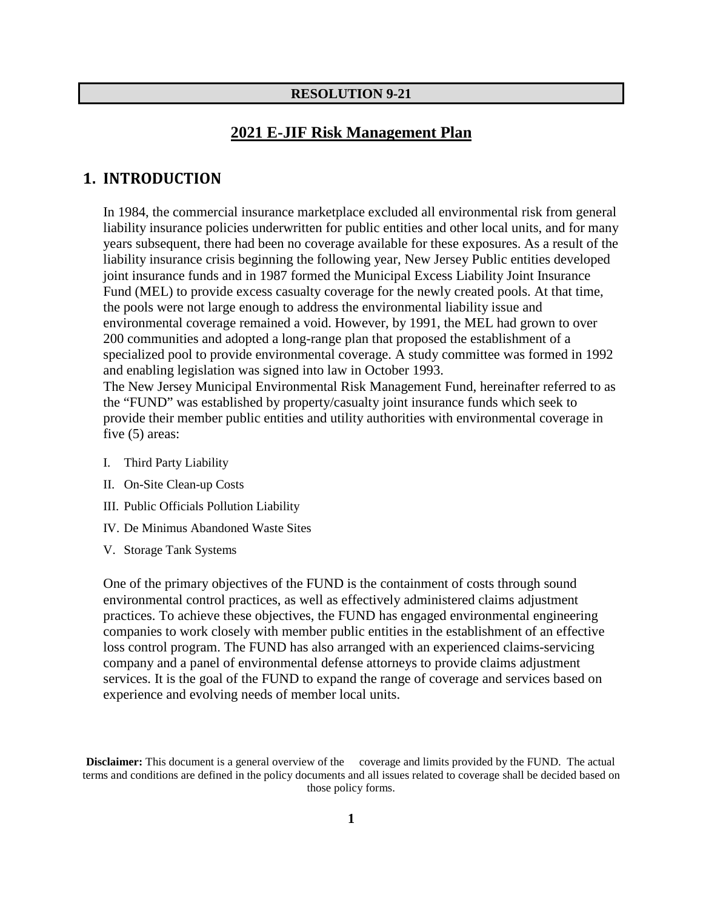#### **RESOLUTION 9-21**

## **2021 E-JIF Risk Management Plan**

## **1. INTRODUCTION**

In 1984, the commercial insurance marketplace excluded all environmental risk from general liability insurance policies underwritten for public entities and other local units, and for many years subsequent, there had been no coverage available for these exposures. As a result of the liability insurance crisis beginning the following year, New Jersey Public entities developed joint insurance funds and in 1987 formed the Municipal Excess Liability Joint Insurance Fund (MEL) to provide excess casualty coverage for the newly created pools. At that time, the pools were not large enough to address the environmental liability issue and environmental coverage remained a void. However, by 1991, the MEL had grown to over 200 communities and adopted a long-range plan that proposed the establishment of a specialized pool to provide environmental coverage. A study committee was formed in 1992 and enabling legislation was signed into law in October 1993.

The New Jersey Municipal Environmental Risk Management Fund, hereinafter referred to as the "FUND" was established by property/casualty joint insurance funds which seek to provide their member public entities and utility authorities with environmental coverage in five (5) areas:

- I. Third Party Liability
- II. On-Site Clean-up Costs
- III. Public Officials Pollution Liability
- IV. De Minimus Abandoned Waste Sites
- V. Storage Tank Systems

One of the primary objectives of the FUND is the containment of costs through sound environmental control practices, as well as effectively administered claims adjustment practices. To achieve these objectives, the FUND has engaged environmental engineering companies to work closely with member public entities in the establishment of an effective loss control program. The FUND has also arranged with an experienced claims-servicing company and a panel of environmental defense attorneys to provide claims adjustment services. It is the goal of the FUND to expand the range of coverage and services based on experience and evolving needs of member local units.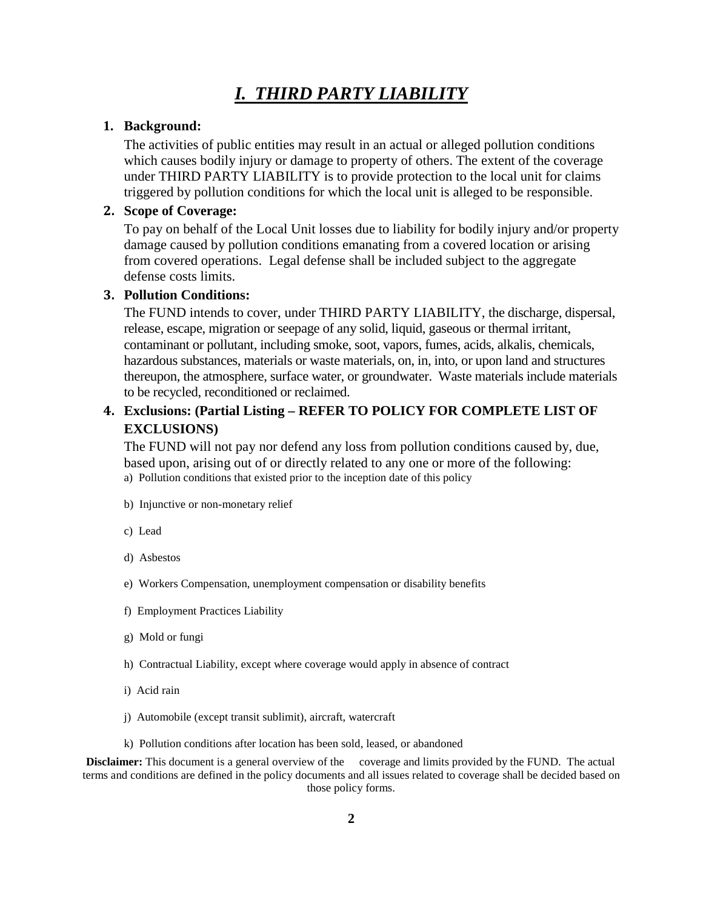# *I. THIRD PARTY LIABILITY*

#### **1. Background:**

The activities of public entities may result in an actual or alleged pollution conditions which causes bodily injury or damage to property of others. The extent of the coverage under THIRD PARTY LIABILITY is to provide protection to the local unit for claims triggered by pollution conditions for which the local unit is alleged to be responsible.

### **2. Scope of Coverage:**

To pay on behalf of the Local Unit losses due to liability for bodily injury and/or property damage caused by pollution conditions emanating from a covered location or arising from covered operations. Legal defense shall be included subject to the aggregate defense costs limits.

#### **3. Pollution Conditions:**

The FUND intends to cover, under THIRD PARTY LIABILITY, the discharge, dispersal, release, escape, migration or seepage of any solid, liquid, gaseous or thermal irritant, contaminant or pollutant, including smoke, soot, vapors, fumes, acids, alkalis, chemicals, hazardous substances, materials or waste materials, on, in, into, or upon land and structures thereupon, the atmosphere, surface water, or groundwater. Waste materials include materials to be recycled, reconditioned or reclaimed.

## **4. Exclusions: (Partial Listing – REFER TO POLICY FOR COMPLETE LIST OF EXCLUSIONS)**

The FUND will not pay nor defend any loss from pollution conditions caused by, due, based upon, arising out of or directly related to any one or more of the following: a) Pollution conditions that existed prior to the inception date of this policy

- b) Injunctive or non-monetary relief
- c) Lead
- d) Asbestos
- e) Workers Compensation, unemployment compensation or disability benefits
- f) Employment Practices Liability
- g) Mold or fungi
- h) Contractual Liability, except where coverage would apply in absence of contract
- i) Acid rain
- j) Automobile (except transit sublimit), aircraft, watercraft
- k) Pollution conditions after location has been sold, leased, or abandoned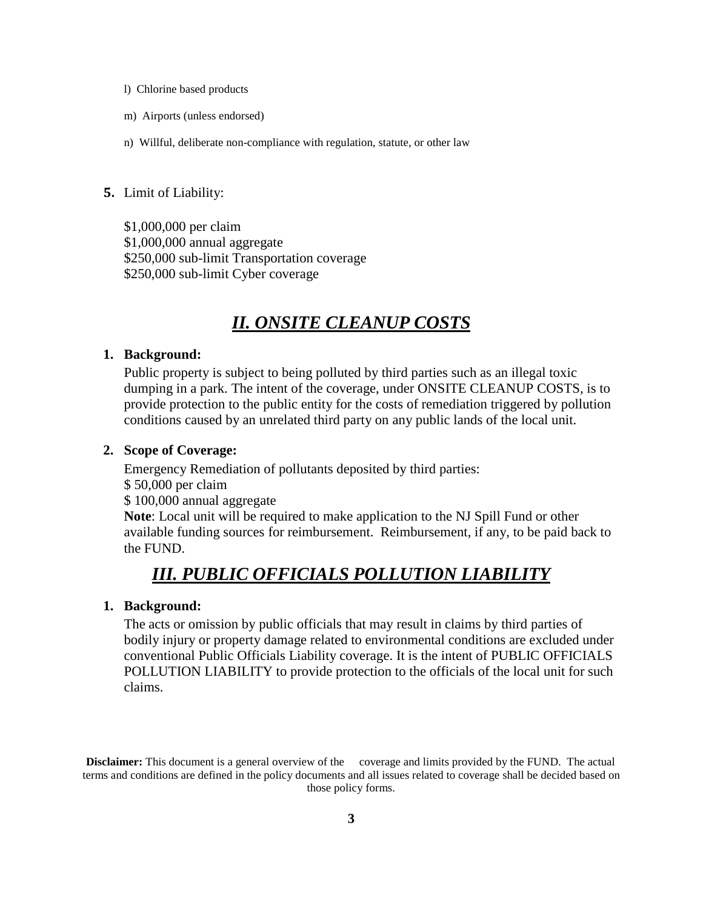- l) Chlorine based products
- m) Airports (unless endorsed)
- n) Willful, deliberate non-compliance with regulation, statute, or other law

#### **5.** Limit of Liability:

\$1,000,000 per claim \$1,000,000 annual aggregate \$250,000 sub-limit Transportation coverage \$250,000 sub-limit Cyber coverage

# *II. ONSITE CLEANUP COSTS*

#### **1. Background:**

Public property is subject to being polluted by third parties such as an illegal toxic dumping in a park. The intent of the coverage, under ONSITE CLEANUP COSTS, is to provide protection to the public entity for the costs of remediation triggered by pollution conditions caused by an unrelated third party on any public lands of the local unit.

### **2. Scope of Coverage:**

Emergency Remediation of pollutants deposited by third parties: \$ 50,000 per claim \$ 100,000 annual aggregate **Note**: Local unit will be required to make application to the NJ Spill Fund or other available funding sources for reimbursement. Reimbursement, if any, to be paid back to the FUND.

## *III. PUBLIC OFFICIALS POLLUTION LIABILITY*

### **1. Background:**

The acts or omission by public officials that may result in claims by third parties of bodily injury or property damage related to environmental conditions are excluded under conventional Public Officials Liability coverage. It is the intent of PUBLIC OFFICIALS POLLUTION LIABILITY to provide protection to the officials of the local unit for such claims.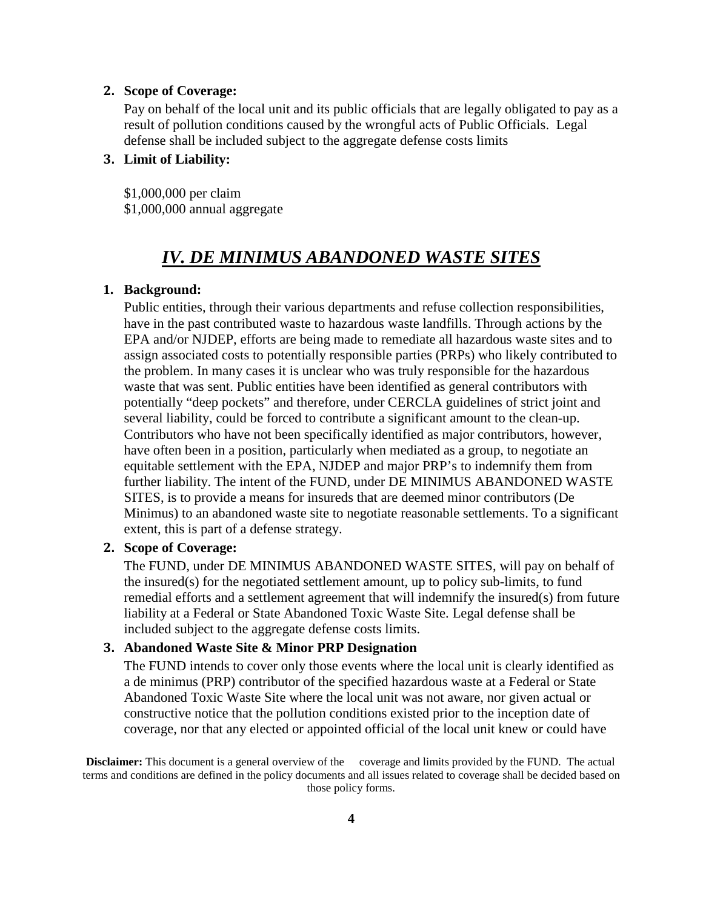### **2. Scope of Coverage:**

Pay on behalf of the local unit and its public officials that are legally obligated to pay as a result of pollution conditions caused by the wrongful acts of Public Officials. Legal defense shall be included subject to the aggregate defense costs limits

### **3. Limit of Liability:**

\$1,000,000 per claim \$1,000,000 annual aggregate

## *IV. DE MINIMUS ABANDONED WASTE SITES*

### **1. Background:**

Public entities, through their various departments and refuse collection responsibilities, have in the past contributed waste to hazardous waste landfills. Through actions by the EPA and/or NJDEP, efforts are being made to remediate all hazardous waste sites and to assign associated costs to potentially responsible parties (PRPs) who likely contributed to the problem. In many cases it is unclear who was truly responsible for the hazardous waste that was sent. Public entities have been identified as general contributors with potentially "deep pockets" and therefore, under CERCLA guidelines of strict joint and several liability, could be forced to contribute a significant amount to the clean-up. Contributors who have not been specifically identified as major contributors, however, have often been in a position, particularly when mediated as a group, to negotiate an equitable settlement with the EPA, NJDEP and major PRP's to indemnify them from further liability. The intent of the FUND, under DE MINIMUS ABANDONED WASTE SITES, is to provide a means for insureds that are deemed minor contributors (De Minimus) to an abandoned waste site to negotiate reasonable settlements. To a significant extent, this is part of a defense strategy.

## **2. Scope of Coverage:**

The FUND, under DE MINIMUS ABANDONED WASTE SITES, will pay on behalf of the insured(s) for the negotiated settlement amount, up to policy sub-limits, to fund remedial efforts and a settlement agreement that will indemnify the insured(s) from future liability at a Federal or State Abandoned Toxic Waste Site. Legal defense shall be included subject to the aggregate defense costs limits.

## **3. Abandoned Waste Site & Minor PRP Designation**

The FUND intends to cover only those events where the local unit is clearly identified as a de minimus (PRP) contributor of the specified hazardous waste at a Federal or State Abandoned Toxic Waste Site where the local unit was not aware, nor given actual or constructive notice that the pollution conditions existed prior to the inception date of coverage, nor that any elected or appointed official of the local unit knew or could have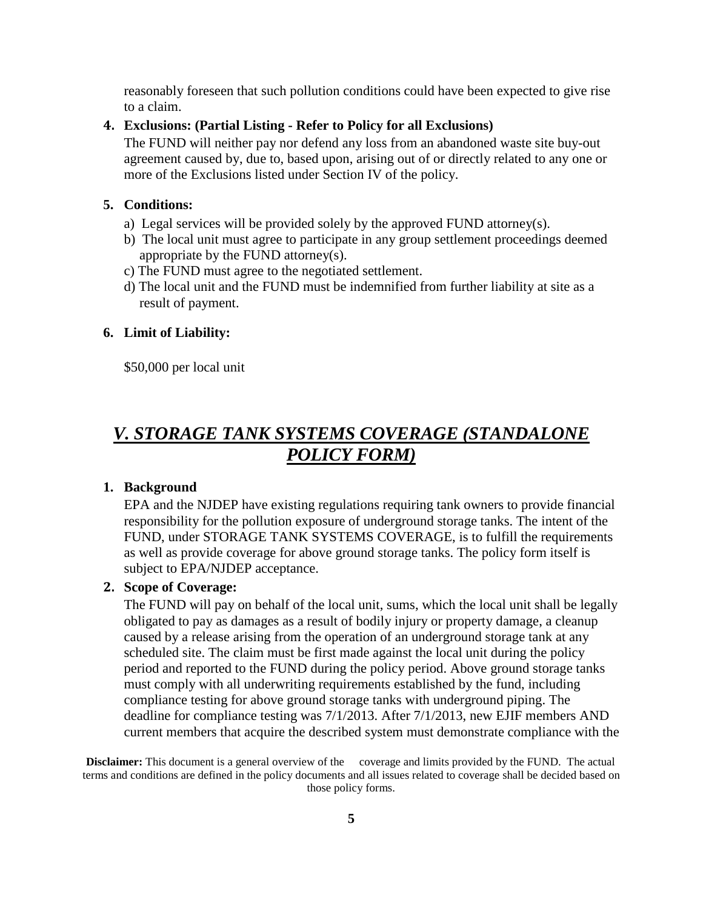reasonably foreseen that such pollution conditions could have been expected to give rise to a claim.

### **4. Exclusions: (Partial Listing - Refer to Policy for all Exclusions)**

The FUND will neither pay nor defend any loss from an abandoned waste site buy-out agreement caused by, due to, based upon, arising out of or directly related to any one or more of the Exclusions listed under Section IV of the policy.

### **5. Conditions:**

- a) Legal services will be provided solely by the approved FUND attorney(s).
- b) The local unit must agree to participate in any group settlement proceedings deemed appropriate by the FUND attorney(s).
- c) The FUND must agree to the negotiated settlement.
- d) The local unit and the FUND must be indemnified from further liability at site as a result of payment.

#### **6. Limit of Liability:**

\$50,000 per local unit

# *V. STORAGE TANK SYSTEMS COVERAGE (STANDALONE POLICY FORM)*

### **1. Background**

EPA and the NJDEP have existing regulations requiring tank owners to provide financial responsibility for the pollution exposure of underground storage tanks. The intent of the FUND, under STORAGE TANK SYSTEMS COVERAGE, is to fulfill the requirements as well as provide coverage for above ground storage tanks. The policy form itself is subject to EPA/NJDEP acceptance.

### **2. Scope of Coverage:**

The FUND will pay on behalf of the local unit, sums, which the local unit shall be legally obligated to pay as damages as a result of bodily injury or property damage, a cleanup caused by a release arising from the operation of an underground storage tank at any scheduled site. The claim must be first made against the local unit during the policy period and reported to the FUND during the policy period. Above ground storage tanks must comply with all underwriting requirements established by the fund, including compliance testing for above ground storage tanks with underground piping. The deadline for compliance testing was 7/1/2013. After 7/1/2013, new EJIF members AND current members that acquire the described system must demonstrate compliance with the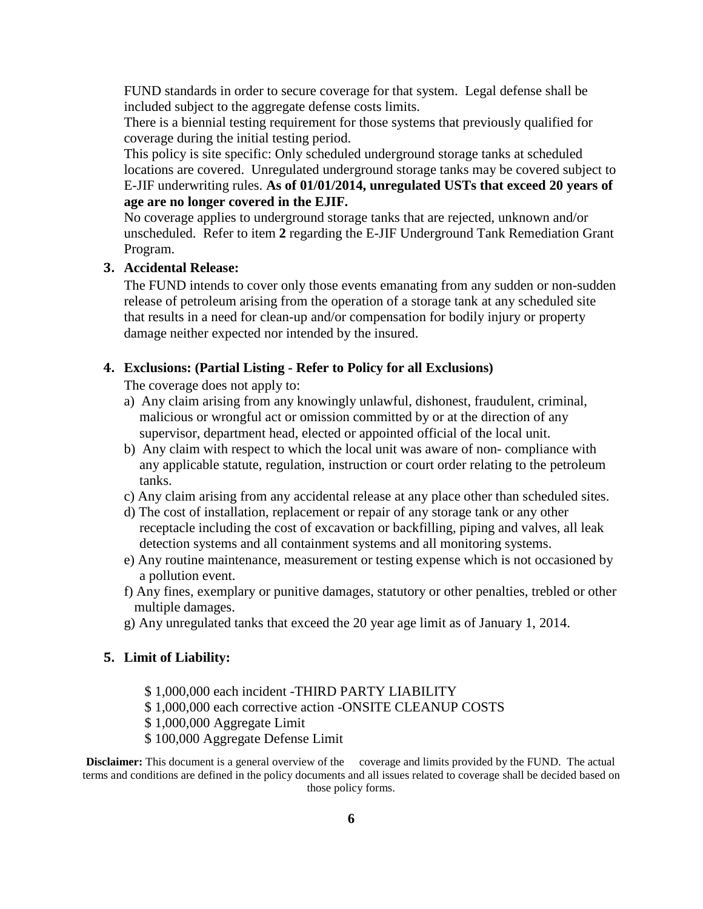FUND standards in order to secure coverage for that system. Legal defense shall be included subject to the aggregate defense costs limits.

There is a biennial testing requirement for those systems that previously qualified for coverage during the initial testing period.

This policy is site specific: Only scheduled underground storage tanks at scheduled locations are covered. Unregulated underground storage tanks may be covered subject to E-JIF underwriting rules. **As of 01/01/2014, unregulated USTs that exceed 20 years of age are no longer covered in the EJIF.**

No coverage applies to underground storage tanks that are rejected, unknown and/or unscheduled. Refer to item **2** regarding the E-JIF Underground Tank Remediation Grant Program.

## **3. Accidental Release:**

The FUND intends to cover only those events emanating from any sudden or non-sudden release of petroleum arising from the operation of a storage tank at any scheduled site that results in a need for clean-up and/or compensation for bodily injury or property damage neither expected nor intended by the insured.

#### **4. Exclusions: (Partial Listing - Refer to Policy for all Exclusions)**

The coverage does not apply to:

- a) Any claim arising from any knowingly unlawful, dishonest, fraudulent, criminal, malicious or wrongful act or omission committed by or at the direction of any supervisor, department head, elected or appointed official of the local unit.
- b) Any claim with respect to which the local unit was aware of non- compliance with any applicable statute, regulation, instruction or court order relating to the petroleum tanks.
- c) Any claim arising from any accidental release at any place other than scheduled sites.
- d) The cost of installation, replacement or repair of any storage tank or any other receptacle including the cost of excavation or backfilling, piping and valves, all leak detection systems and all containment systems and all monitoring systems.
- e) Any routine maintenance, measurement or testing expense which is not occasioned by a pollution event.
- f) Any fines, exemplary or punitive damages, statutory or other penalties, trebled or other multiple damages.
- g) Any unregulated tanks that exceed the 20 year age limit as of January 1, 2014.

#### **5. Limit of Liability:**

- \$ 1,000,000 each incident -THIRD PARTY LIABILITY
- \$ 1,000,000 each corrective action -ONSITE CLEANUP COSTS
- \$ 1,000,000 Aggregate Limit
- \$ 100,000 Aggregate Defense Limit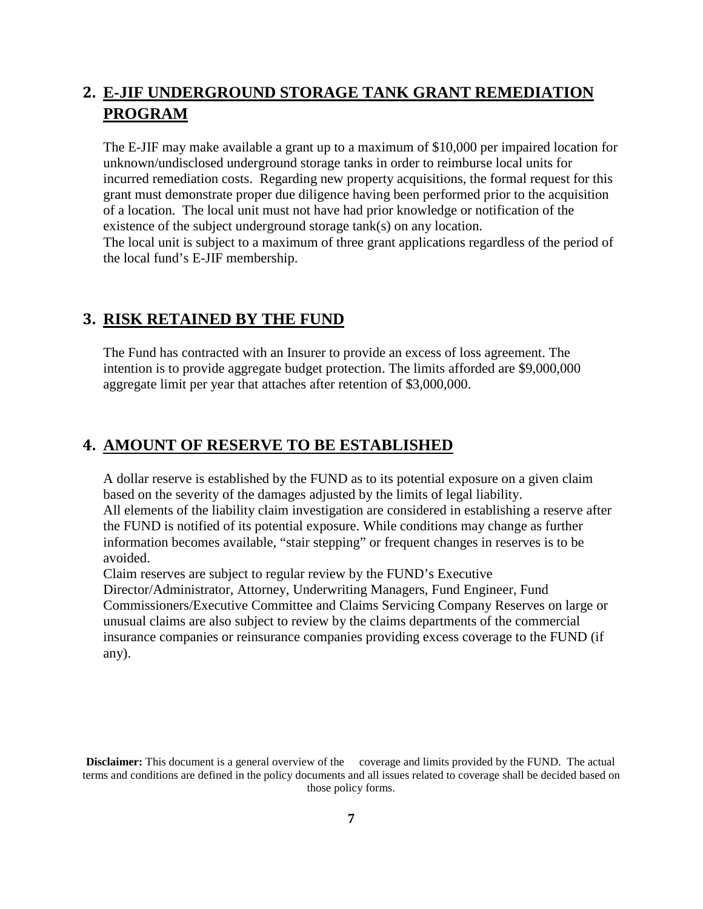# **2. E-JIF UNDERGROUND STORAGE TANK GRANT REMEDIATION PROGRAM**

The E-JIF may make available a grant up to a maximum of \$10,000 per impaired location for unknown/undisclosed underground storage tanks in order to reimburse local units for incurred remediation costs. Regarding new property acquisitions, the formal request for this grant must demonstrate proper due diligence having been performed prior to the acquisition of a location. The local unit must not have had prior knowledge or notification of the existence of the subject underground storage tank(s) on any location. The local unit is subject to a maximum of three grant applications regardless of the period of the local fund's E-JIF membership.

## **3. RISK RETAINED BY THE FUND**

The Fund has contracted with an Insurer to provide an excess of loss agreement. The intention is to provide aggregate budget protection. The limits afforded are \$9,000,000 aggregate limit per year that attaches after retention of \$3,000,000.

## **4. AMOUNT OF RESERVE TO BE ESTABLISHED**

A dollar reserve is established by the FUND as to its potential exposure on a given claim based on the severity of the damages adjusted by the limits of legal liability. All elements of the liability claim investigation are considered in establishing a reserve after the FUND is notified of its potential exposure. While conditions may change as further information becomes available, "stair stepping" or frequent changes in reserves is to be avoided.

Claim reserves are subject to regular review by the FUND's Executive

Director/Administrator, Attorney, Underwriting Managers, Fund Engineer, Fund Commissioners/Executive Committee and Claims Servicing Company Reserves on large or unusual claims are also subject to review by the claims departments of the commercial insurance companies or reinsurance companies providing excess coverage to the FUND (if any).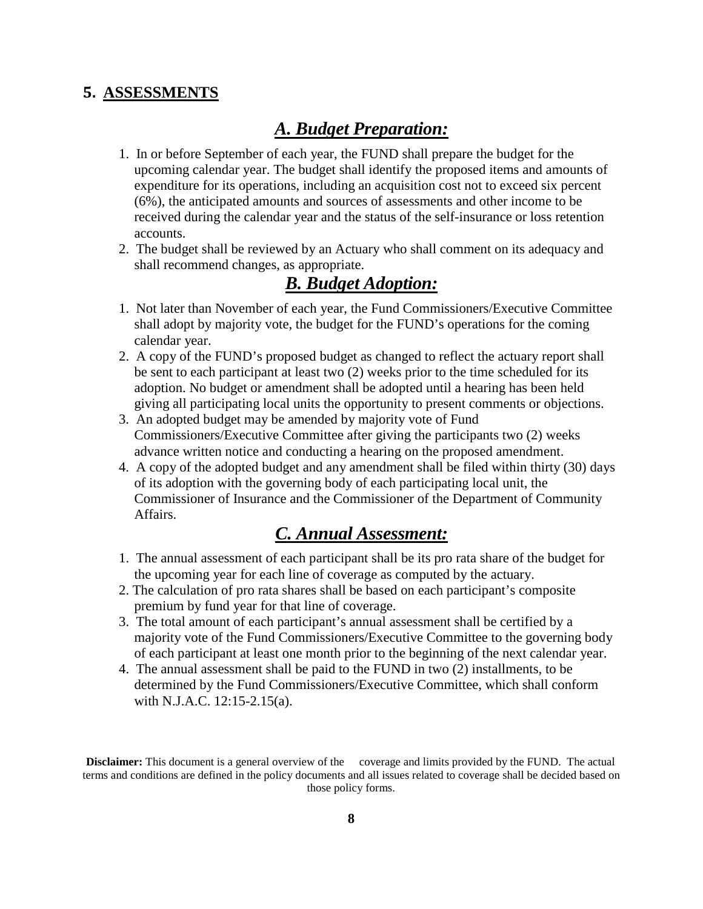## **5. ASSESSMENTS**

## *A. Budget Preparation:*

- 1. In or before September of each year, the FUND shall prepare the budget for the upcoming calendar year. The budget shall identify the proposed items and amounts of expenditure for its operations, including an acquisition cost not to exceed six percent (6%), the anticipated amounts and sources of assessments and other income to be received during the calendar year and the status of the self-insurance or loss retention accounts.
- 2. The budget shall be reviewed by an Actuary who shall comment on its adequacy and shall recommend changes, as appropriate.

## *B. Budget Adoption:*

- 1. Not later than November of each year, the Fund Commissioners/Executive Committee shall adopt by majority vote, the budget for the FUND's operations for the coming calendar year.
- 2. A copy of the FUND's proposed budget as changed to reflect the actuary report shall be sent to each participant at least two (2) weeks prior to the time scheduled for its adoption. No budget or amendment shall be adopted until a hearing has been held giving all participating local units the opportunity to present comments or objections.
- 3. An adopted budget may be amended by majority vote of Fund Commissioners/Executive Committee after giving the participants two (2) weeks advance written notice and conducting a hearing on the proposed amendment.
- 4. A copy of the adopted budget and any amendment shall be filed within thirty (30) days of its adoption with the governing body of each participating local unit, the Commissioner of Insurance and the Commissioner of the Department of Community Affairs.

# *C. Annual Assessment:*

- 1. The annual assessment of each participant shall be its pro rata share of the budget for the upcoming year for each line of coverage as computed by the actuary.
- 2. The calculation of pro rata shares shall be based on each participant's composite premium by fund year for that line of coverage.
- 3. The total amount of each participant's annual assessment shall be certified by a majority vote of the Fund Commissioners/Executive Committee to the governing body of each participant at least one month prior to the beginning of the next calendar year.
- 4. The annual assessment shall be paid to the FUND in two (2) installments, to be determined by the Fund Commissioners/Executive Committee, which shall conform with N.J.A.C. 12:15-2.15(a).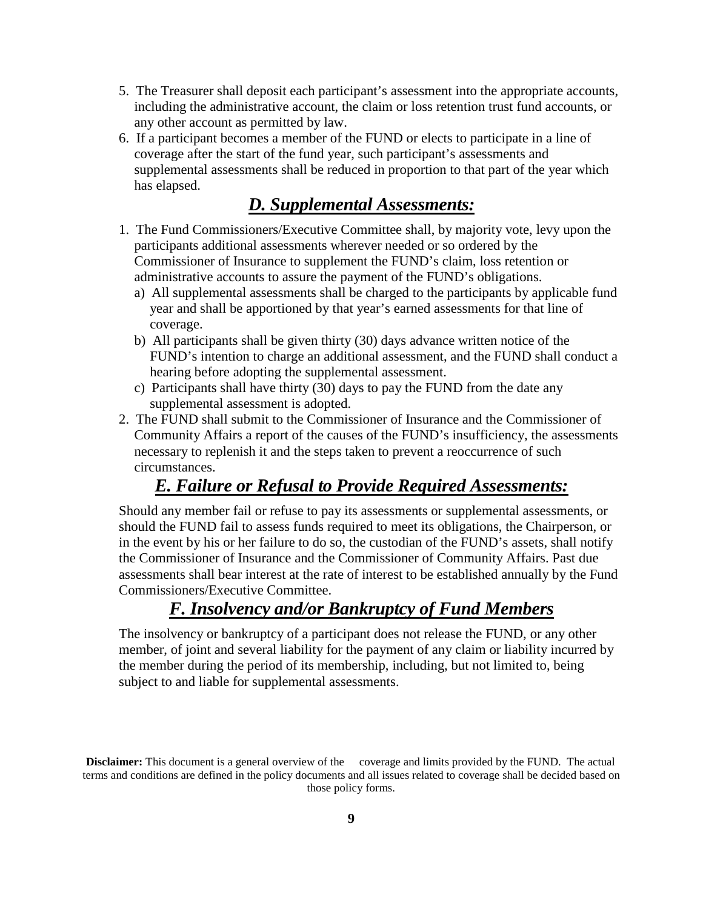- 5. The Treasurer shall deposit each participant's assessment into the appropriate accounts, including the administrative account, the claim or loss retention trust fund accounts, or any other account as permitted by law.
- 6. If a participant becomes a member of the FUND or elects to participate in a line of coverage after the start of the fund year, such participant's assessments and supplemental assessments shall be reduced in proportion to that part of the year which has elapsed.

## *D. Supplemental Assessments:*

- 1. The Fund Commissioners/Executive Committee shall, by majority vote, levy upon the participants additional assessments wherever needed or so ordered by the Commissioner of Insurance to supplement the FUND's claim, loss retention or administrative accounts to assure the payment of the FUND's obligations.
	- a) All supplemental assessments shall be charged to the participants by applicable fund year and shall be apportioned by that year's earned assessments for that line of coverage.
	- b) All participants shall be given thirty (30) days advance written notice of the FUND's intention to charge an additional assessment, and the FUND shall conduct a hearing before adopting the supplemental assessment.
	- c) Participants shall have thirty (30) days to pay the FUND from the date any supplemental assessment is adopted.
- 2. The FUND shall submit to the Commissioner of Insurance and the Commissioner of Community Affairs a report of the causes of the FUND's insufficiency, the assessments necessary to replenish it and the steps taken to prevent a reoccurrence of such circumstances.

## *E. Failure or Refusal to Provide Required Assessments:*

Should any member fail or refuse to pay its assessments or supplemental assessments, or should the FUND fail to assess funds required to meet its obligations, the Chairperson, or in the event by his or her failure to do so, the custodian of the FUND's assets, shall notify the Commissioner of Insurance and the Commissioner of Community Affairs. Past due assessments shall bear interest at the rate of interest to be established annually by the Fund Commissioners/Executive Committee.

# *F. Insolvency and/or Bankruptcy of Fund Members*

The insolvency or bankruptcy of a participant does not release the FUND, or any other member, of joint and several liability for the payment of any claim or liability incurred by the member during the period of its membership, including, but not limited to, being subject to and liable for supplemental assessments.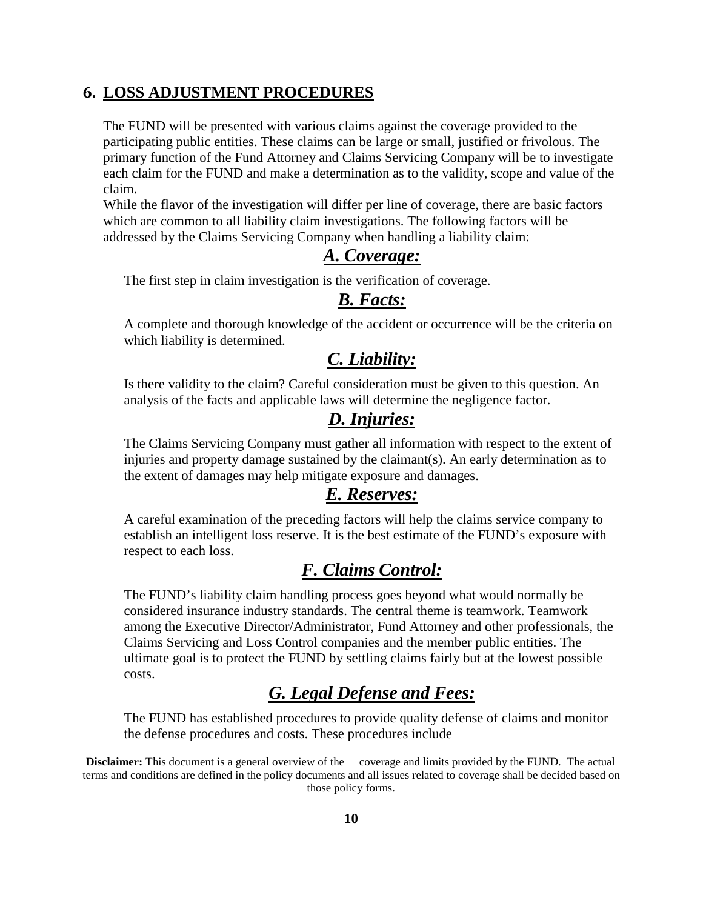## **6. LOSS ADJUSTMENT PROCEDURES**

The FUND will be presented with various claims against the coverage provided to the participating public entities. These claims can be large or small, justified or frivolous. The primary function of the Fund Attorney and Claims Servicing Company will be to investigate each claim for the FUND and make a determination as to the validity, scope and value of the claim.

While the flavor of the investigation will differ per line of coverage, there are basic factors which are common to all liability claim investigations. The following factors will be addressed by the Claims Servicing Company when handling a liability claim:

## *A. Coverage:*

The first step in claim investigation is the verification of coverage.

## *B. Facts:*

A complete and thorough knowledge of the accident or occurrence will be the criteria on which liability is determined.

## *C. Liability:*

Is there validity to the claim? Careful consideration must be given to this question. An analysis of the facts and applicable laws will determine the negligence factor.

## *D. Injuries:*

The Claims Servicing Company must gather all information with respect to the extent of injuries and property damage sustained by the claimant(s). An early determination as to the extent of damages may help mitigate exposure and damages.

# *E. Reserves:*

A careful examination of the preceding factors will help the claims service company to establish an intelligent loss reserve. It is the best estimate of the FUND's exposure with respect to each loss.

# *F. Claims Control:*

The FUND's liability claim handling process goes beyond what would normally be considered insurance industry standards. The central theme is teamwork. Teamwork among the Executive Director/Administrator, Fund Attorney and other professionals, the Claims Servicing and Loss Control companies and the member public entities. The ultimate goal is to protect the FUND by settling claims fairly but at the lowest possible costs.

# *G. Legal Defense and Fees:*

The FUND has established procedures to provide quality defense of claims and monitor the defense procedures and costs. These procedures include